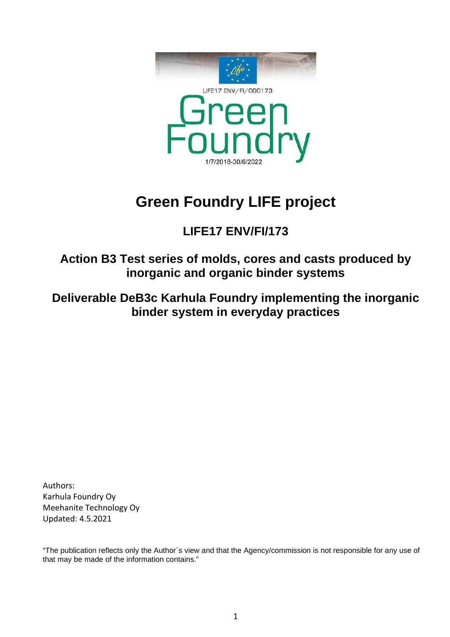

# **Green Foundry LIFE project**

# **LIFE17 ENV/FI/173**

**Action B3 Test series of molds, cores and casts produced by inorganic and organic binder systems**

**Deliverable DeB3c Karhula Foundry implementing the inorganic binder system in everyday practices**

Authors: Karhula Foundry Oy Meehanite Technology Oy Updated: 4.5.2021

"The publication reflects only the Author´s view and that the Agency/commission is not responsible for any use of that may be made of the information contains."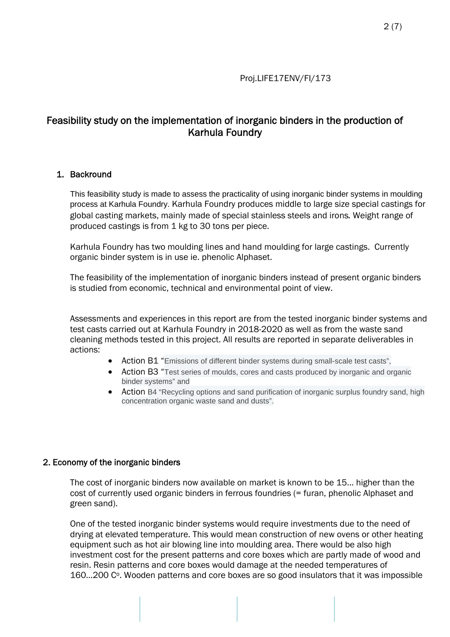# Feasibility study on the implementation of inorganic binders in the production of Karhula Foundry

#### 1. Backround

This feasibility study is made to assess the practicality of using inorganic binder systems in moulding process at Karhula Foundry. Karhula Foundry produces middle to large size special castings for global casting markets, mainly made of special stainless steels and irons. Weight range of produced castings is from 1 kg to 30 tons per piece.

Karhula Foundry has two moulding lines and hand moulding for large castings. Currently organic binder system is in use ie. phenolic Alphaset.

The feasibility of the implementation of inorganic binders instead of present organic binders is studied from economic, technical and environmental point of view.

Assessments and experiences in this report are from the tested inorganic binder systems and test casts carried out at Karhula Foundry in 2018-2020 as well as from the waste sand cleaning methods tested in this project. All results are reported in separate deliverables in actions:

- Action B1 "Emissions of different binder systems during small-scale test casts",
- Action B3 "Test series of moulds, cores and casts produced by inorganic and organic binder systems" and
- Action B4 "Recycling options and sand purification of inorganic surplus foundry sand, high concentration organic waste sand and dusts".

#### 2. Economy of the inorganic binders

The cost of inorganic binders now available on market is known to be 15... higher than the cost of currently used organic binders in ferrous foundries (= furan, phenolic Alphaset and green sand).

One of the tested inorganic binder systems would require investments due to the need of drying at elevated temperature. This would mean construction of new ovens or other heating equipment such as hot air blowing line into moulding area. There would be also high investment cost for the present patterns and core boxes which are partly made of wood and resin. Resin patterns and core boxes would damage at the needed temperatures of  $160...200$   $C<sup>o</sup>$ . Wooden patterns and core boxes are so good insulators that it was impossible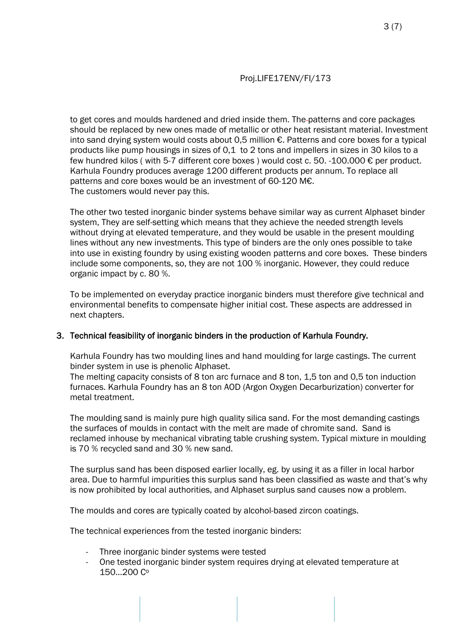to get cores and moulds hardened and dried inside them. The patterns and core packages should be replaced by new ones made of metallic or other heat resistant material. Investment into sand drying system would costs about 0,5 million €. Patterns and core boxes for a typical products like pump housings in sizes of 0,1 to 2 tons and impellers in sizes in 30 kilos to a few hundred kilos ( with 5-7 different core boxes ) would cost c. 50. -100.000 € per product. Karhula Foundry produces average 1200 different products per annum. To replace all patterns and core boxes would be an investment of 60-120 M€. The customers would never pay this.

The other two tested inorganic binder systems behave similar way as current Alphaset binder system, They are self-setting which means that they achieve the needed strength levels without drying at elevated temperature, and they would be usable in the present moulding lines without any new investments. *This type of binders are the only ones possible to take into use in existing foundry by using existing wooden patterns and core boxes.* These binders include some components, so, they are not 100 % inorganic. However, they could reduce organic impact by c. 80 %.

To be implemented on everyday practice inorganic binders must therefore give technical and environmental benefits to compensate higher initial cost. These aspects are addressed in next chapters.

#### 3. Technical feasibility of inorganic binders in the production of Karhula Foundry.

Karhula Foundry has two moulding lines and hand moulding for large castings. The current binder system in use is phenolic Alphaset.

The melting capacity consists of 8 ton arc furnace and 8 ton, 1,5 ton and 0,5 ton induction furnaces. Karhula Foundry has an 8 ton AOD (Argon Oxygen Decarburization) converter for metal treatment.

The moulding sand is mainly pure high quality silica sand. For the most demanding castings the surfaces of moulds in contact with the melt are made of chromite sand. Sand is reclamed inhouse by mechanical vibrating table crushing system. Typical mixture in moulding is 70 % recycled sand and 30 % new sand.

The surplus sand has been disposed earlier locally, eg. by using it as a filler in local harbor area. Due to harmful impurities this surplus sand has been classified as waste and that's why is now prohibited by local authorities, and Alphaset surplus sand causes now a problem.

The moulds and cores are typically coated by alcohol-based zircon coatings.

The technical experiences from the tested inorganic binders:

- Three inorganic binder systems were tested
- One tested inorganic binder system requires drying at elevated temperature at 150…200 Co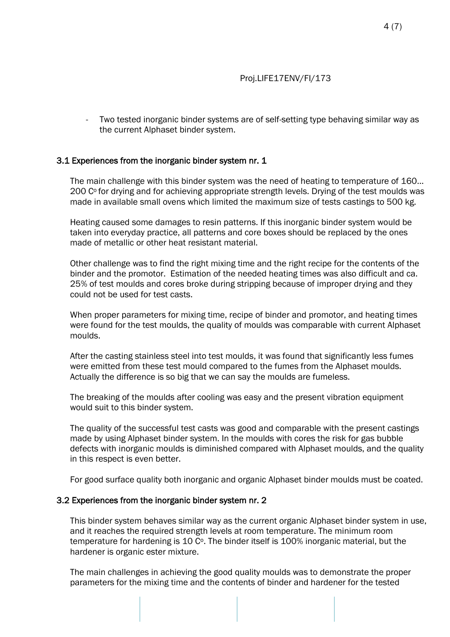Two tested inorganic binder systems are of self-setting type behaving similar way as the current Alphaset binder system.

#### 3.1 Experiences from the inorganic binder system nr. 1

The main challenge with this binder system was the need of heating to temperature of 160… 200 C<sup>o</sup> for drying and for achieving appropriate strength levels. Drying of the test moulds was made in available small ovens which limited the maximum size of tests castings to 500 kg.

Heating caused some damages to resin patterns. If this inorganic binder system would be taken into everyday practice, all patterns and core boxes should be replaced by the ones made of metallic or other heat resistant material.

Other challenge was to find the right mixing time and the right recipe for the contents of the binder and the promotor. Estimation of the needed heating times was also difficult and ca. 25% of test moulds and cores broke during stripping because of improper drying and they could not be used for test casts.

When proper parameters for mixing time, recipe of binder and promotor, and heating times were found for the test moulds, the quality of moulds was comparable with current Alphaset moulds.

After the casting stainless steel into test moulds, it was found that significantly less fumes were emitted from these test mould compared to the fumes from the Alphaset moulds. Actually the difference is so big that we can say the moulds are fumeless.

The breaking of the moulds after cooling was easy and the present vibration equipment would suit to this binder system.

The quality of the successful test casts was good and comparable with the present castings made by using Alphaset binder system. In the moulds with cores the risk for gas bubble defects with inorganic moulds is diminished compared with Alphaset moulds, and the quality in this respect is even better.

For good surface quality both inorganic and organic Alphaset binder moulds must be coated.

#### 3.2 Experiences from the inorganic binder system nr. 2

This binder system behaves similar way as the current organic Alphaset binder system in use, and it reaches the required strength levels at room temperature. The minimum room temperature for hardening is 10 C°. The binder itself is 100% inorganic material, but the hardener is organic ester mixture.

The main challenges in achieving the good quality moulds was to demonstrate the proper parameters for the mixing time and the contents of binder and hardener for the tested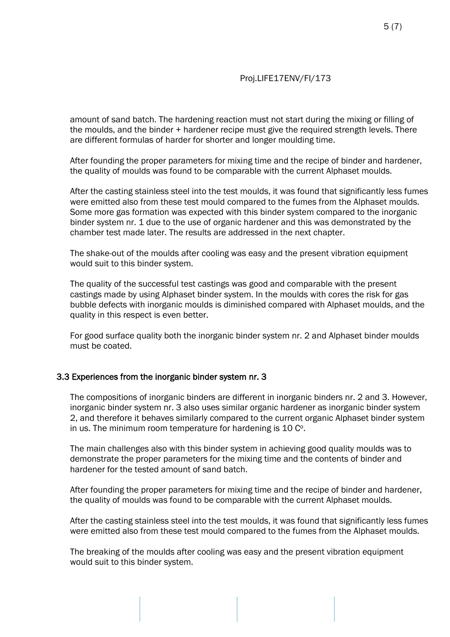amount of sand batch. The hardening reaction must not start during the mixing or filling of the moulds, and the binder + hardener recipe must give the required strength levels. There are different formulas of harder for shorter and longer moulding time.

After founding the proper parameters for mixing time and the recipe of binder and hardener, the quality of moulds was found to be comparable with the current Alphaset moulds.

After the casting stainless steel into the test moulds, it was found that significantly less fumes were emitted also from these test mould compared to the fumes from the Alphaset moulds. Some more gas formation was expected with this binder system compared to the inorganic binder system nr. 1 due to the use of organic hardener and this was demonstrated by the chamber test made later. The results are addressed in the next chapter.

The shake-out of the moulds after cooling was easy and the present vibration equipment would suit to this binder system.

The quality of the successful test castings was good and comparable with the present castings made by using Alphaset binder system. In the moulds with cores the risk for gas bubble defects with inorganic moulds is diminished compared with Alphaset moulds, and the quality in this respect is even better.

For good surface quality both the inorganic binder system nr. 2 and Alphaset binder moulds must be coated.

#### 3.3 Experiences from the inorganic binder system nr. 3

The compositions of inorganic binders are different in inorganic binders nr. 2 and 3. However, inorganic binder system nr. 3 also uses similar organic hardener as inorganic binder system 2, and therefore it behaves similarly compared to the current organic Alphaset binder system in us. The minimum room temperature for hardening is  $10 \, \text{C}^{\circ}$ .

The main challenges also with this binder system in achieving good quality moulds was to demonstrate the proper parameters for the mixing time and the contents of binder and hardener for the tested amount of sand batch.

After founding the proper parameters for mixing time and the recipe of binder and hardener, the quality of moulds was found to be comparable with the current Alphaset moulds.

After the casting stainless steel into the test moulds, it was found that significantly less fumes were emitted also from these test mould compared to the fumes from the Alphaset moulds.

The breaking of the moulds after cooling was easy and the present vibration equipment would suit to this binder system.